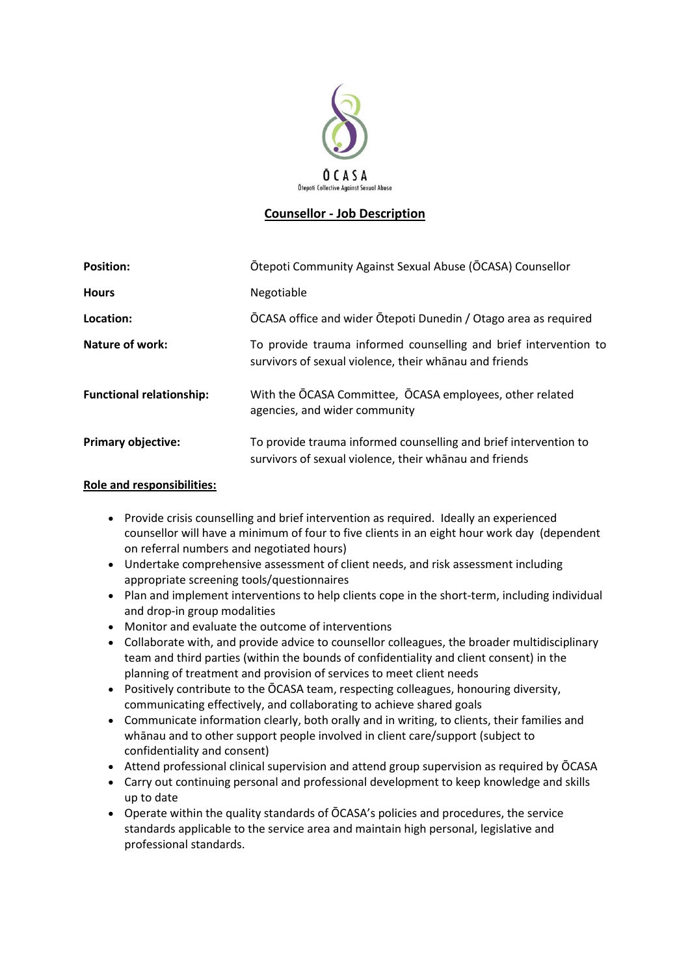

# **Counsellor - Job Description**

| <b>Position:</b>                | Ōtepoti Community Against Sexual Abuse (ŌCASA) Counsellor                                                                  |
|---------------------------------|----------------------------------------------------------------------------------------------------------------------------|
| <b>Hours</b>                    | Negotiable                                                                                                                 |
| Location:                       | OCASA office and wider Otepoti Dunedin / Otago area as required                                                            |
| Nature of work:                 | To provide trauma informed counselling and brief intervention to<br>survivors of sexual violence, their whanau and friends |
| <b>Functional relationship:</b> | With the OCASA Committee, OCASA employees, other related<br>agencies, and wider community                                  |
| <b>Primary objective:</b>       | To provide trauma informed counselling and brief intervention to<br>survivors of sexual violence, their whanau and friends |

#### **Role and responsibilities:**

- Provide crisis counselling and brief intervention as required. Ideally an experienced counsellor will have a minimum of four to five clients in an eight hour work day (dependent on referral numbers and negotiated hours)
- Undertake comprehensive assessment of client needs, and risk assessment including appropriate screening tools/questionnaires
- Plan and implement interventions to help clients cope in the short-term, including individual and drop-in group modalities
- Monitor and evaluate the outcome of interventions
- Collaborate with, and provide advice to counsellor colleagues, the broader multidisciplinary team and third parties (within the bounds of confidentiality and client consent) in the planning of treatment and provision of services to meet client needs
- Positively contribute to the ŌCASA team, respecting colleagues, honouring diversity, communicating effectively, and collaborating to achieve shared goals
- Communicate information clearly, both orally and in writing, to clients, their families and whānau and to other support people involved in client care/support (subject to confidentiality and consent)
- Attend professional clinical supervision and attend group supervision as required by ŌCASA
- Carry out continuing personal and professional development to keep knowledge and skills up to date
- Operate within the quality standards of ŌCASA's policies and procedures, the service standards applicable to the service area and maintain high personal, legislative and professional standards.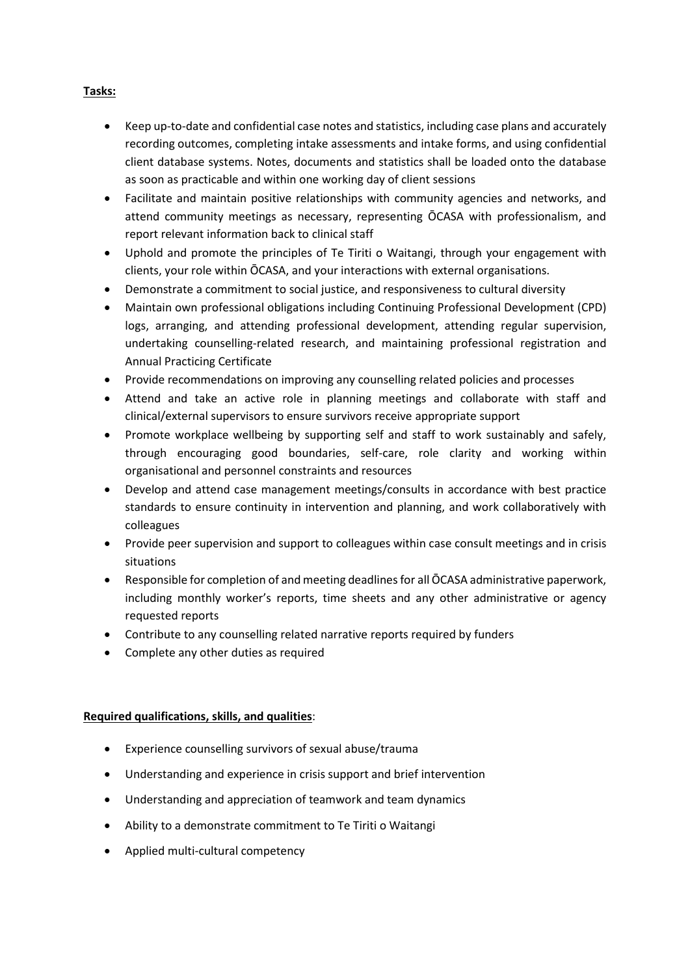### **Tasks:**

- Keep up-to-date and confidential case notes and statistics, including case plans and accurately recording outcomes, completing intake assessments and intake forms, and using confidential client database systems. Notes, documents and statistics shall be loaded onto the database as soon as practicable and within one working day of client sessions
- Facilitate and maintain positive relationships with community agencies and networks, and attend community meetings as necessary, representing ŌCASA with professionalism, and report relevant information back to clinical staff
- Uphold and promote the principles of Te Tiriti o Waitangi, through your engagement with clients, your role within ŌCASA, and your interactions with external organisations.
- Demonstrate a commitment to social justice, and responsiveness to cultural diversity
- Maintain own professional obligations including Continuing Professional Development (CPD) logs, arranging, and attending professional development, attending regular supervision, undertaking counselling-related research, and maintaining professional registration and Annual Practicing Certificate
- Provide recommendations on improving any counselling related policies and processes
- Attend and take an active role in planning meetings and collaborate with staff and clinical/external supervisors to ensure survivors receive appropriate support
- Promote workplace wellbeing by supporting self and staff to work sustainably and safely, through encouraging good boundaries, self-care, role clarity and working within organisational and personnel constraints and resources
- Develop and attend case management meetings/consults in accordance with best practice standards to ensure continuity in intervention and planning, and work collaboratively with colleagues
- Provide peer supervision and support to colleagues within case consult meetings and in crisis situations
- Responsible for completion of and meeting deadlines for all ŌCASA administrative paperwork, including monthly worker's reports, time sheets and any other administrative or agency requested reports
- Contribute to any counselling related narrative reports required by funders
- Complete any other duties as required

## **Required qualifications, skills, and qualities**:

- Experience counselling survivors of sexual abuse/trauma
- Understanding and experience in crisis support and brief intervention
- Understanding and appreciation of teamwork and team dynamics
- Ability to a demonstrate commitment to Te Tiriti o Waitangi
- Applied multi-cultural competency